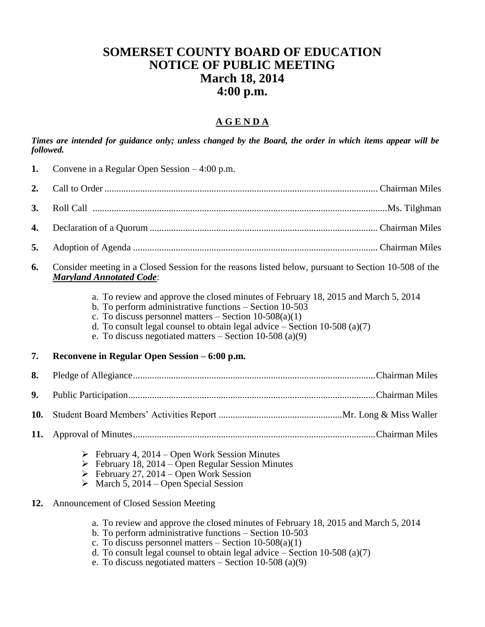## **SOMERSET COUNTY BOARD OF EDUCATION NOTICE OF PUBLIC MEETING March 18, 2014 4:00 p.m.**

## **A G E N D A**

*Times are intended for guidance only; unless changed by the Board, the order in which items appear will be followed.*

- **1.** Convene in a Regular Open Session 4:00 p.m.
- **2.** Call to Order ................................................................................................................... Chairman Miles
- **3.** Roll Call ............................................................................................................................Ms. Tilghman
- **4.** Declaration of a Quorum ................................................................................................ Chairman Miles
- **5.** Adoption of Agenda ....................................................................................................... Chairman Miles
- **6.** Consider meeting in a Closed Session for the reasons listed below, pursuant to Section 10-508 of the *Maryland Annotated Code*:
	- a. To review and approve the closed minutes of February 18, 2015 and March 5, 2014
	- b. To perform administrative functions Section 10-503
	- c. To discuss personnel matters Section  $10-508(a)(1)$
	- d. To consult legal counsel to obtain legal advice  $-$  Section 10-508 (a)(7)
	- e. To discuss negotiated matters  $-$  Section 10-508 (a)(9)
- **7. Reconvene in Regular Open Session – 6:00 p.m.**

**8.** Pledge of Allegiance......................................................................................................Chairman Miles

**9.** Public Participation........................................................................................................Chairman Miles

**10.** Student Board Members' Activities Report ....................................................Mr. Long & Miss Waller

- **11.** Approval of Minutes......................................................................................................Chairman Miles
	- $\triangleright$  February 4, 2014 Open Work Session Minutes
	- $\triangleright$  February 18, 2014 Open Regular Session Minutes
	- $\triangleright$  February 27, 2014 Open Work Session
	- $\triangleright$  March 5, 2014 Open Special Session
- **12.** Announcement of Closed Session Meeting
	- a. To review and approve the closed minutes of February 18, 2015 and March 5, 2014
	- b. To perform administrative functions Section 10-503
	- c. To discuss personnel matters Section  $10-508(a)(1)$
	- d. To consult legal counsel to obtain legal advice  $-$  Section 10-508 (a)(7)
	- e. To discuss negotiated matters  $-$  Section 10-508 (a)(9)